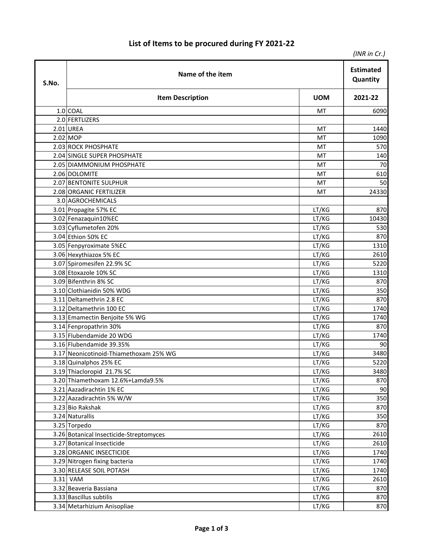## **List of Items to be procured during FY 2021-22**

|       |                                         |            | (INR in Cr.) |
|-------|-----------------------------------------|------------|--------------|
| S.No. | Name of the item                        |            |              |
|       | <b>Item Description</b>                 | <b>UOM</b> | 2021-22      |
|       | 1.0 COAL                                | МT         | 6090         |
|       | 2.0 FERTLIZERS                          |            |              |
|       | 2.01 UREA                               | MT         | 1440         |
|       | $2.02$ MOP                              | MT         | 1090         |
|       | 2.03 ROCK PHOSPHATE                     | MT         | 570          |
|       | 2.04 SINGLE SUPER PHOSPHATE             | МT         | 140          |
|       | 2.05 DIAMMONIUM PHOSPHATE               | MT         | 70           |
|       | 2.06 DOLOMITE                           | MT         | 610          |
|       | 2.07 BENTONITE SULPHUR                  | MT         | 50           |
|       | 2.08 ORGANIC FERTILIZER                 | MT         | 24330        |
|       | 3.0 AGROCHEMICALS                       |            |              |
|       | 3.01 Propagite 57% EC                   | LT/KG      | 870          |
|       | 3.02 Fenazaquin10%EC                    | LT/KG      | 10430        |
|       | 3.03 Cyflumetofen 20%                   | LT/KG      | 530          |
|       | 3.04 Ethion 50% EC                      | LT/KG      | 870          |
|       | 3.05 Fenpyroximate 5%EC                 | LT/KG      | 1310         |
|       | 3.06 Hexythiazox 5% EC                  | LT/KG      | 2610         |
|       | 3.07 Spiromesifen 22.9% SC              | LT/KG      | 5220         |
|       | 3.08 Etoxazole 10% SC                   | LT/KG      | 1310         |
|       | 3.09 Bifenthrin 8% SC                   | LT/KG      | 870          |
|       | 3.10 Clothianidin 50% WDG               | LT/KG      | 350          |
|       | 3.11 Deltamethrin 2.8 EC                | LT/KG      | 870          |
|       | 3.12 Deltamethrin 100 EC                | LT/KG      | 1740         |
|       | 3.13 Emamectin Benjoite 5% WG           | LT/KG      | 1740         |
|       | 3.14 Fenpropathrin 30%                  | LT/KG      | 870          |
|       | 3.15 Flubendamide 20 WDG                | LT/KG      | 1740         |
|       | 3.16 Flubendamide 39.35%                | LT/KG      | 90           |
|       | 3.17 Neonicotinoid-Thiamethoxam 25% WG  | LT/KG      | 3480         |
|       | 3.18 Quinalphos 25% EC                  | LT/KG      | 5220         |
|       | 3.19 Thiacloropid 21.7% SC              | LT/KG      | 3480         |
|       | 3.20 Thiamethoxam 12.6%+Lamda9.5%       | LT/KG      | 870          |
|       | 3.21 Aazadirachtin 1% EC                | LT/KG      | 90           |
|       | 3.22 Aazadirachtin 5% W/W               | LT/KG      | 350          |
|       | 3.23 Bio Rakshak                        | LT/KG      | 870          |
|       | 3.24 Naturallis                         | LT/KG      | 350          |
|       | 3.25 Torpedo                            | LT/KG      | 870          |
|       | 3.26 Botanical Insecticide-Streptomyces | LT/KG      | 2610         |
|       | 3.27 Botanical Insecticide              | LT/KG      | 2610         |
|       | 3.28 ORGANIC INSECTICIDE                | LT/KG      | 1740         |
|       | 3.29 Nitrogen fixing bacteria           | LT/KG      | 1740         |
|       | 3.30 RELEASE SOIL POTASH                | LT/KG      | 1740         |
|       | 3.31 VAM                                | LT/KG      | 2610         |
|       | 3.32 Beaveria Bassiana                  | LT/KG      | 870          |
|       | 3.33 Bascillus subtilis                 | LT/KG      | 870          |
|       | 3.34 Metarhizium Anisopliae             | LT/KG      | 870          |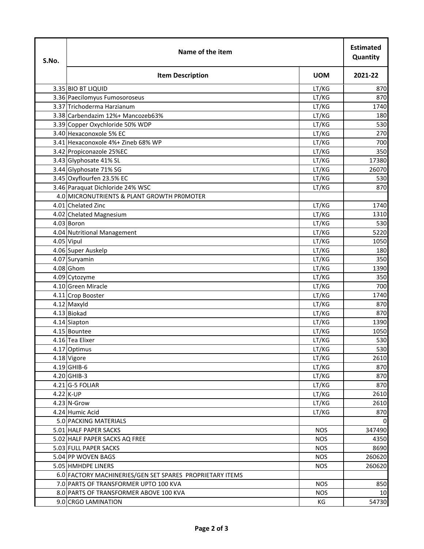| S.No. | Name of the item                                         |            |         |
|-------|----------------------------------------------------------|------------|---------|
|       | <b>Item Description</b>                                  | <b>UOM</b> | 2021-22 |
|       | 3.35 BIO BT LIQUID                                       | LT/KG      | 870     |
|       | 3.36 Paecilomyus Fumosoroseus                            | LT/KG      | 870     |
|       | 3.37 Trichoderma Harzianum                               | LT/KG      | 1740    |
|       | 3.38 Carbendazim 12%+ Mancozeb63%                        | LT/KG      | 180     |
|       | 3.39 Copper Oxychloride 50% WDP                          | LT/KG      | 530     |
|       | 3.40 Hexaconoxole 5% EC                                  | LT/KG      | 270     |
|       | 3.41 Hexaconoxole 4%+ Zineb 68% WP                       | LT/KG      | 700     |
|       | 3.42 Propiconazole 25%EC                                 | LT/KG      | 350     |
|       | 3.43 Glyphosate 41% SL                                   | LT/KG      | 17380   |
|       | 3.44 Glyphosate 71% SG                                   | LT/KG      | 26070   |
|       | 3.45 Oxyflourfen 23.5% EC                                | LT/KG      | 530     |
|       | 3.46 Paraquat Dichloride 24% WSC                         | LT/KG      | 870     |
|       | 4.0 MICRONUTRIENTS & PLANT GROWTH PROMOTER               |            |         |
|       | 4.01 Chelated Zinc                                       | LT/KG      | 1740    |
|       | 4.02 Chelated Magnesium                                  | LT/KG      | 1310    |
|       | 4.03 Boron                                               | LT/KG      | 530     |
|       | 4.04 Nutritional Management                              | LT/KG      | 5220    |
|       | 4.05 Vipul                                               | LT/KG      | 1050    |
|       | 4.06 Super Auskelp                                       | LT/KG      | 180     |
|       | 4.07 Suryamin                                            | LT/KG      | 350     |
|       | 4.08 Ghom                                                | LT/KG      | 1390    |
|       | 4.09 Cytozyme                                            | LT/KG      | 350     |
|       | 4.10 Green Miracle                                       | LT/KG      | 700     |
|       | 4.11 Crop Booster                                        | LT/KG      | 1740    |
|       | 4.12 Maxyld                                              | LT/KG      | 870     |
|       | 4.13 Biokad                                              | LT/KG      | 870     |
|       | 4.14 Siapton                                             | LT/KG      | 1390    |
|       | 4.15 Bountee                                             | LT/KG      | 1050    |
|       | 4.16 Tea Elixer                                          | LT/KG      | 530     |
|       | 4.17 Optimus                                             | LT/KG      | 530     |
|       | 4.18 Vigore                                              | LT/KG      | 2610    |
|       | 4.19 GHIB-6                                              | LT/KG      | 870     |
|       | 4.20 GHIB-3                                              | LT/KG      | 870     |
|       | $4.21$ G-5 FOLIAR                                        | LT/KG      | 870     |
|       | 4.22 K-UP                                                | LT/KG      | 2610    |
|       | 4.23 N-Grow                                              | LT/KG      | 2610    |
|       | 4.24 Humic Acid                                          | LT/KG      | 870     |
|       | 5.0 PACKING MATERIALS                                    |            |         |
|       | 5.01 HALF PAPER SACKS                                    | <b>NOS</b> | 347490  |
|       | 5.02 HALF PAPER SACKS AQ FREE                            | <b>NOS</b> | 4350    |
|       | 5.03 FULL PAPER SACKS                                    | <b>NOS</b> | 8690    |
|       | 5.04 PP WOVEN BAGS                                       | <b>NOS</b> | 260620  |
|       | 5.05 HMHDPE LINERS                                       | <b>NOS</b> | 260620  |
|       | 6.0 FACTORY MACHINERIES/GEN SET SPARES PROPRIETARY ITEMS |            |         |
|       | 7.0 PARTS OF TRANSFORMER UPTO 100 KVA                    | <b>NOS</b> | 850     |
|       | 8.0 PARTS OF TRANSFORMER ABOVE 100 KVA                   | <b>NOS</b> | 10      |
|       | 9.0 CRGO LAMINATION                                      | КG         | 54730   |